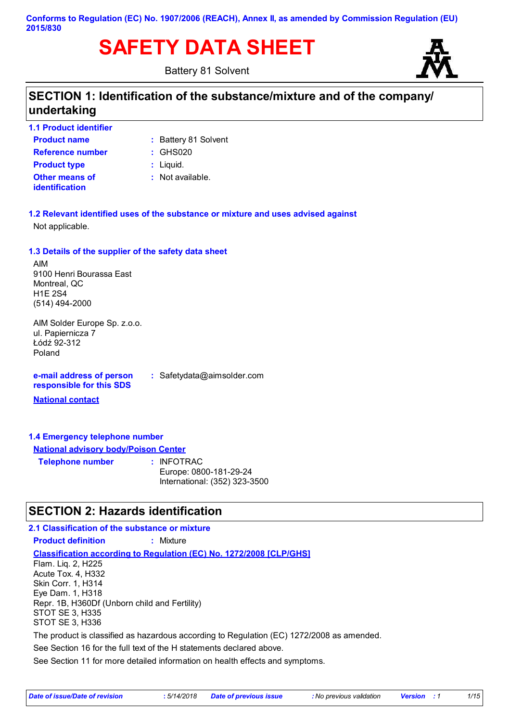# **SAFETY DATA SHEET**

Battery 81 Solvent



## **SECTION 1: Identification of the substance/mixture and of the company/ undertaking**

**Product name 1.1 Product identifier**

**Other means of identification**

- **Battery 81 Solvent**
- **Reference number :** GHS020
- **Product type**  $\qquad$ **:** Liquid.
	- : Not available.

**1.2 Relevant identified uses of the substance or mixture and uses advised against** Not applicable.

### **1.3 Details of the supplier of the safety data sheet**

AIM 9100 Henri Bourassa East Montreal, QC H1E 2S4 (514) 494-2000

AIM Solder Europe Sp. z.o.o. ul. Papiernicza 7 Łódź 92-312 Poland

**e-mail address of person responsible for this SDS**

**:** Safetydata@aimsolder.com

**National contact**

### **1.4 Emergency telephone number**

**National advisory body/Poison Center**

**Telephone number :** INFOTRAC Europe: 0800-181-29-24

International: (352) 323-3500

### **SECTION 2: Hazards identification**

### **Classification according to Regulation (EC) No. 1272/2008 [CLP/GHS] 2.1 Classification of the substance or mixture Product definition :** Mixture See Section 16 for the full text of the H statements declared above. Flam. Liq. 2, H225 Acute Tox. 4, H332 Skin Corr. 1, H314 Eye Dam. 1, H318 Repr. 1B, H360Df (Unborn child and Fertility) STOT SE 3, H335 STOT SE 3, H336 The product is classified as hazardous according to Regulation (EC) 1272/2008 as amended.

See Section 11 for more detailed information on health effects and symptoms.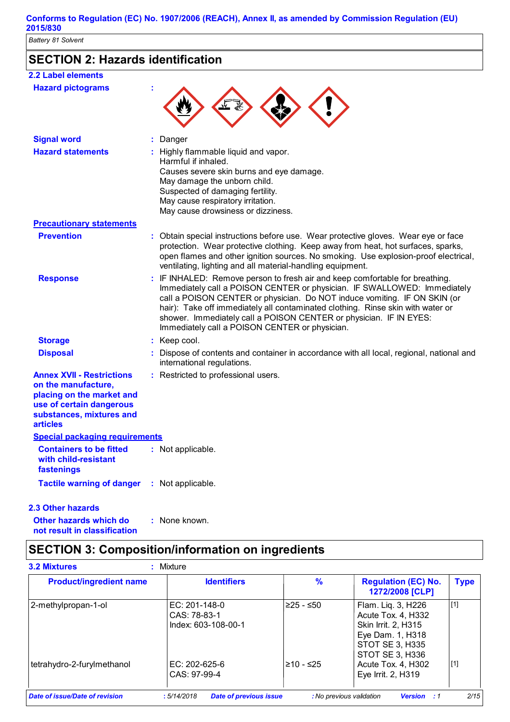### **Conforms to Regulation (EC) No. 1907/2006 (REACH), Annex II, as amended by Commission Regulation (EU) 2015/830**

*Battery 81 Solvent*

## **SECTION 2: Hazards identification**

| <b>2.2 Label elements</b>                                                                                                                                       |                                                                                                                                                                                                                                                                                                                                                                                                                                                  |
|-----------------------------------------------------------------------------------------------------------------------------------------------------------------|--------------------------------------------------------------------------------------------------------------------------------------------------------------------------------------------------------------------------------------------------------------------------------------------------------------------------------------------------------------------------------------------------------------------------------------------------|
| <b>Hazard pictograms</b>                                                                                                                                        |                                                                                                                                                                                                                                                                                                                                                                                                                                                  |
| <b>Signal word</b>                                                                                                                                              | : Danger                                                                                                                                                                                                                                                                                                                                                                                                                                         |
| <b>Hazard statements</b>                                                                                                                                        | : Highly flammable liquid and vapor.<br>Harmful if inhaled.<br>Causes severe skin burns and eye damage.<br>May damage the unborn child.<br>Suspected of damaging fertility.<br>May cause respiratory irritation.<br>May cause drowsiness or dizziness.                                                                                                                                                                                           |
| <b>Precautionary statements</b>                                                                                                                                 |                                                                                                                                                                                                                                                                                                                                                                                                                                                  |
| <b>Prevention</b>                                                                                                                                               | : Obtain special instructions before use. Wear protective gloves. Wear eye or face<br>protection. Wear protective clothing. Keep away from heat, hot surfaces, sparks,<br>open flames and other ignition sources. No smoking. Use explosion-proof electrical,<br>ventilating, lighting and all material-handling equipment.                                                                                                                      |
| <b>Response</b>                                                                                                                                                 | : IF INHALED: Remove person to fresh air and keep comfortable for breathing.<br>Immediately call a POISON CENTER or physician. IF SWALLOWED: Immediately<br>call a POISON CENTER or physician. Do NOT induce vomiting. IF ON SKIN (or<br>hair): Take off immediately all contaminated clothing. Rinse skin with water or<br>shower. Immediately call a POISON CENTER or physician. IF IN EYES:<br>Immediately call a POISON CENTER or physician. |
| <b>Storage</b>                                                                                                                                                  | : Keep cool.                                                                                                                                                                                                                                                                                                                                                                                                                                     |
| <b>Disposal</b>                                                                                                                                                 | : Dispose of contents and container in accordance with all local, regional, national and<br>international regulations.                                                                                                                                                                                                                                                                                                                           |
| <b>Annex XVII - Restrictions</b><br>on the manufacture,<br>placing on the market and<br>use of certain dangerous<br>substances, mixtures and<br><b>articles</b> | : Restricted to professional users.                                                                                                                                                                                                                                                                                                                                                                                                              |
| <b>Special packaging requirements</b>                                                                                                                           |                                                                                                                                                                                                                                                                                                                                                                                                                                                  |
| <b>Containers to be fitted</b><br>with child-resistant<br>fastenings                                                                                            | : Not applicable.                                                                                                                                                                                                                                                                                                                                                                                                                                |
| <b>Tactile warning of danger</b>                                                                                                                                | : Not applicable.                                                                                                                                                                                                                                                                                                                                                                                                                                |

### **2.3 Other hazards**

**Other hazards which do : not result in classification** : None known.

### **SECTION 3: Composition/information on ingredients**

| <b>Product/ingredient name</b> | <b>Identifiers</b>                                   | $\frac{9}{6}$ | <b>Regulation (EC) No.</b><br>1272/2008 [CLP]                                                                                    | <b>Type</b> |
|--------------------------------|------------------------------------------------------|---------------|----------------------------------------------------------------------------------------------------------------------------------|-------------|
| 2-methylpropan-1-ol            | EC: 201-148-0<br>CAS: 78-83-1<br>Index: 603-108-00-1 | ≥25 - ≤50     | Flam. Liq. 3, H226<br>Acute Tox. 4, H332<br><b>Skin Irrit. 2. H315</b><br>Eye Dam. 1, H318<br>STOT SE 3, H335<br>STOT SE 3, H336 | $[1]$       |
| tetrahydro-2-furylmethanol     | EC: $202 - 625 - 6$<br>CAS: 97-99-4                  | $≥10 - ≤25$   | Acute Tox. 4, H302<br>Eye Irrit. 2, H319                                                                                         | $[1]$       |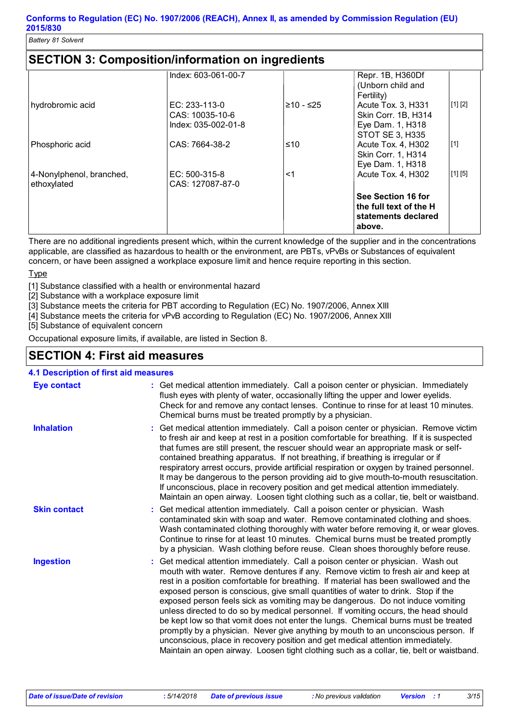| <b>SECTION 3: Composition/information on ingredients</b> |
|----------------------------------------------------------|
|----------------------------------------------------------|

|                          | Index: 603-061-00-7 |            | Repr. 1B, H360Df<br>(Unborn child and                                         |                     |
|--------------------------|---------------------|------------|-------------------------------------------------------------------------------|---------------------|
|                          |                     |            | Fertility)                                                                    |                     |
| hydrobromic acid         | $EC: 233-113-0$     | l≥10 - ≤25 | Acute Tox. 3, H331                                                            | [1] [2]             |
|                          | CAS: 10035-10-6     |            | Skin Corr. 1B, H314                                                           |                     |
|                          | Index: 035-002-01-8 |            | Eye Dam. 1, H318                                                              |                     |
|                          |                     |            | <b>STOT SE 3, H335</b>                                                        |                     |
| Phosphoric acid          | CAS: 7664-38-2      | ≤10        | Acute Tox. 4, H302                                                            | $\lfloor 1 \rfloor$ |
|                          |                     |            | <b>Skin Corr. 1, H314</b>                                                     |                     |
|                          |                     |            | Eye Dam. 1, H318                                                              |                     |
| 4-Nonylphenol, branched, | EC: $500-315-8$     | <1         | Acute Tox. 4, H302                                                            | [1] [5]             |
| ethoxylated              | CAS: 127087-87-0    |            |                                                                               |                     |
|                          |                     |            | See Section 16 for<br>the full text of the H<br>statements declared<br>above. |                     |

There are no additional ingredients present which, within the current knowledge of the supplier and in the concentrations applicable, are classified as hazardous to health or the environment, are PBTs, vPvBs or Substances of equivalent concern, or have been assigned a workplace exposure limit and hence require reporting in this section.

**Type** 

[1] Substance classified with a health or environmental hazard

[2] Substance with a workplace exposure limit

[3] Substance meets the criteria for PBT according to Regulation (EC) No. 1907/2006, Annex XIII

[4] Substance meets the criteria for vPvB according to Regulation (EC) No. 1907/2006, Annex XIII

[5] Substance of equivalent concern

Occupational exposure limits, if available, are listed in Section 8.

### **SECTION 4: First aid measures**

### **4.1 Description of first aid measures**

| <b>Eye contact</b>  | : Get medical attention immediately. Call a poison center or physician. Immediately<br>flush eyes with plenty of water, occasionally lifting the upper and lower eyelids.<br>Check for and remove any contact lenses. Continue to rinse for at least 10 minutes.<br>Chemical burns must be treated promptly by a physician.                                                                                                                                                                                                                                                                                                                                                                                                                                                                                                                                                         |
|---------------------|-------------------------------------------------------------------------------------------------------------------------------------------------------------------------------------------------------------------------------------------------------------------------------------------------------------------------------------------------------------------------------------------------------------------------------------------------------------------------------------------------------------------------------------------------------------------------------------------------------------------------------------------------------------------------------------------------------------------------------------------------------------------------------------------------------------------------------------------------------------------------------------|
| <b>Inhalation</b>   | : Get medical attention immediately. Call a poison center or physician. Remove victim<br>to fresh air and keep at rest in a position comfortable for breathing. If it is suspected<br>that fumes are still present, the rescuer should wear an appropriate mask or self-<br>contained breathing apparatus. If not breathing, if breathing is irregular or if<br>respiratory arrest occurs, provide artificial respiration or oxygen by trained personnel.<br>It may be dangerous to the person providing aid to give mouth-to-mouth resuscitation.<br>If unconscious, place in recovery position and get medical attention immediately.<br>Maintain an open airway. Loosen tight clothing such as a collar, tie, belt or waistband.                                                                                                                                                 |
| <b>Skin contact</b> | : Get medical attention immediately. Call a poison center or physician. Wash<br>contaminated skin with soap and water. Remove contaminated clothing and shoes.<br>Wash contaminated clothing thoroughly with water before removing it, or wear gloves.<br>Continue to rinse for at least 10 minutes. Chemical burns must be treated promptly<br>by a physician. Wash clothing before reuse. Clean shoes thoroughly before reuse.                                                                                                                                                                                                                                                                                                                                                                                                                                                    |
| <b>Ingestion</b>    | : Get medical attention immediately. Call a poison center or physician. Wash out<br>mouth with water. Remove dentures if any. Remove victim to fresh air and keep at<br>rest in a position comfortable for breathing. If material has been swallowed and the<br>exposed person is conscious, give small quantities of water to drink. Stop if the<br>exposed person feels sick as vomiting may be dangerous. Do not induce vomiting<br>unless directed to do so by medical personnel. If vomiting occurs, the head should<br>be kept low so that vomit does not enter the lungs. Chemical burns must be treated<br>promptly by a physician. Never give anything by mouth to an unconscious person. If<br>unconscious, place in recovery position and get medical attention immediately.<br>Maintain an open airway. Loosen tight clothing such as a collar, tie, belt or waistband. |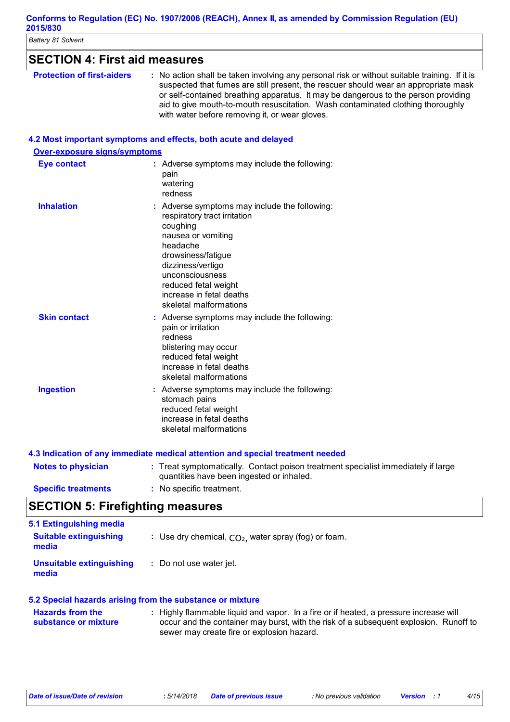| <b>Battery 81 Solvent</b>            |                                                                                                                                                                                                                                                                                                                                                                                                                 |  |  |
|--------------------------------------|-----------------------------------------------------------------------------------------------------------------------------------------------------------------------------------------------------------------------------------------------------------------------------------------------------------------------------------------------------------------------------------------------------------------|--|--|
| <b>SECTION 4: First aid measures</b> |                                                                                                                                                                                                                                                                                                                                                                                                                 |  |  |
| <b>Protection of first-aiders</b>    | : No action shall be taken involving any personal risk or without suitable training. If it is<br>suspected that fumes are still present, the rescuer should wear an appropriate mask<br>or self-contained breathing apparatus. It may be dangerous to the person providing<br>aid to give mouth-to-mouth resuscitation. Wash contaminated clothing thoroughly<br>with water before removing it, or wear gloves. |  |  |
|                                      | 4.2 Most important symptoms and effects, both acute and delayed                                                                                                                                                                                                                                                                                                                                                 |  |  |
| Over-exposure signs/symptoms         |                                                                                                                                                                                                                                                                                                                                                                                                                 |  |  |
| <b>Eye contact</b>                   | : Adverse symptoms may include the following:<br>pain<br>watering<br>redness                                                                                                                                                                                                                                                                                                                                    |  |  |
| <b>Inhalation</b>                    | : Adverse symptoms may include the following:<br>respiratory tract irritation<br>coughing<br>nausea or vomiting<br>headache<br>drowsiness/fatigue<br>dizziness/vertigo<br>unconsciousness<br>reduced fetal weight<br>increase in fetal deaths<br>skeletal malformations                                                                                                                                         |  |  |
| <b>Skin contact</b>                  | : Adverse symptoms may include the following:<br>pain or irritation<br>redness<br>blistering may occur<br>reduced fetal weight<br>increase in fetal deaths<br>skeletal malformations                                                                                                                                                                                                                            |  |  |
| <b>Ingestion</b>                     | : Adverse symptoms may include the following:<br>stomach pains<br>reduced fetal weight<br>increase in fetal deaths<br>skeletal malformations                                                                                                                                                                                                                                                                    |  |  |
|                                      | 4.3 Indication of any immediate medical attention and special treatment needed                                                                                                                                                                                                                                                                                                                                  |  |  |
| المستحدث والمتحدا والمستحدثة المتماز | . Tugat o montenation lle Content noisen tugatus ent engelelist inspectivitei et la pr                                                                                                                                                                                                                                                                                                                          |  |  |

| <b>Notes to physician</b>  | : Treat symptomatically. Contact poison treatment specialist immediately if large |
|----------------------------|-----------------------------------------------------------------------------------|
|                            | quantities have been ingested or inhaled.                                         |
| <b>Specific treatments</b> | : No specific treatment.                                                          |

## **SECTION 5: Firefighting measures**

| 5.1 Extinguishing media<br><b>Suitable extinguishing</b><br>media | : Use dry chemical, $CO2$ , water spray (fog) or foam. |
|-------------------------------------------------------------------|--------------------------------------------------------|
| Unsuitable extinguishing<br>media                                 | : Do not use water jet.                                |

### **5.2 Special hazards arising from the substance or mixture**

| <b>Hazards from the</b> | : Highly flammable liquid and vapor. In a fire or if heated, a pressure increase will |
|-------------------------|---------------------------------------------------------------------------------------|
| substance or mixture    | occur and the container may burst, with the risk of a subsequent explosion. Runoff to |
|                         | sewer may create fire or explosion hazard.                                            |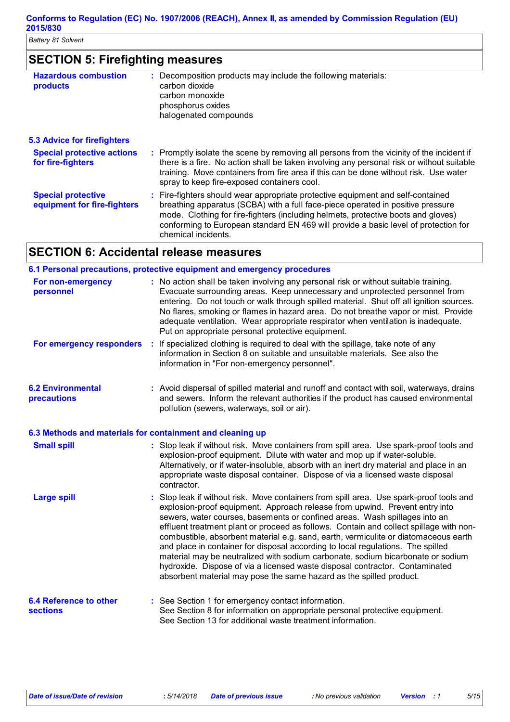## **SECTION 5: Firefighting measures**

| <b>Hazardous combustion</b><br>products                  | : Decomposition products may include the following materials:<br>carbon dioxide<br>carbon monoxide<br>phosphorus oxides<br>halogenated compounds                                                                                                                                                                                                                      |
|----------------------------------------------------------|-----------------------------------------------------------------------------------------------------------------------------------------------------------------------------------------------------------------------------------------------------------------------------------------------------------------------------------------------------------------------|
| <b>5.3 Advice for firefighters</b>                       |                                                                                                                                                                                                                                                                                                                                                                       |
| <b>Special protective actions</b><br>for fire-fighters   | : Promptly isolate the scene by removing all persons from the vicinity of the incident if<br>there is a fire. No action shall be taken involving any personal risk or without suitable<br>training. Move containers from fire area if this can be done without risk. Use water<br>spray to keep fire-exposed containers cool.                                         |
| <b>Special protective</b><br>equipment for fire-fighters | : Fire-fighters should wear appropriate protective equipment and self-contained<br>breathing apparatus (SCBA) with a full face-piece operated in positive pressure<br>mode. Clothing for fire-fighters (including helmets, protective boots and gloves)<br>conforming to European standard EN 469 will provide a basic level of protection for<br>chemical incidents. |

## **SECTION 6: Accidental release measures**

|                                                           |    | 6.1 Personal precautions, protective equipment and emergency procedures                                                                                                                                                                                                                                                                                                                                                                                                                                                                                                                                                                                                                                                                                          |
|-----------------------------------------------------------|----|------------------------------------------------------------------------------------------------------------------------------------------------------------------------------------------------------------------------------------------------------------------------------------------------------------------------------------------------------------------------------------------------------------------------------------------------------------------------------------------------------------------------------------------------------------------------------------------------------------------------------------------------------------------------------------------------------------------------------------------------------------------|
| For non-emergency<br>personnel                            |    | : No action shall be taken involving any personal risk or without suitable training.<br>Evacuate surrounding areas. Keep unnecessary and unprotected personnel from<br>entering. Do not touch or walk through spilled material. Shut off all ignition sources.<br>No flares, smoking or flames in hazard area. Do not breathe vapor or mist. Provide<br>adequate ventilation. Wear appropriate respirator when ventilation is inadequate.<br>Put on appropriate personal protective equipment.                                                                                                                                                                                                                                                                   |
| For emergency responders                                  | ÷  | If specialized clothing is required to deal with the spillage, take note of any<br>information in Section 8 on suitable and unsuitable materials. See also the<br>information in "For non-emergency personnel".                                                                                                                                                                                                                                                                                                                                                                                                                                                                                                                                                  |
| <b>6.2 Environmental</b><br>precautions                   |    | : Avoid dispersal of spilled material and runoff and contact with soil, waterways, drains<br>and sewers. Inform the relevant authorities if the product has caused environmental<br>pollution (sewers, waterways, soil or air).                                                                                                                                                                                                                                                                                                                                                                                                                                                                                                                                  |
| 6.3 Methods and materials for containment and cleaning up |    |                                                                                                                                                                                                                                                                                                                                                                                                                                                                                                                                                                                                                                                                                                                                                                  |
| <b>Small spill</b>                                        |    | : Stop leak if without risk. Move containers from spill area. Use spark-proof tools and<br>explosion-proof equipment. Dilute with water and mop up if water-soluble.<br>Alternatively, or if water-insoluble, absorb with an inert dry material and place in an<br>appropriate waste disposal container. Dispose of via a licensed waste disposal<br>contractor.                                                                                                                                                                                                                                                                                                                                                                                                 |
| <b>Large spill</b>                                        | t. | Stop leak if without risk. Move containers from spill area. Use spark-proof tools and<br>explosion-proof equipment. Approach release from upwind. Prevent entry into<br>sewers, water courses, basements or confined areas. Wash spillages into an<br>effluent treatment plant or proceed as follows. Contain and collect spillage with non-<br>combustible, absorbent material e.g. sand, earth, vermiculite or diatomaceous earth<br>and place in container for disposal according to local regulations. The spilled<br>material may be neutralized with sodium carbonate, sodium bicarbonate or sodium<br>hydroxide. Dispose of via a licensed waste disposal contractor. Contaminated<br>absorbent material may pose the same hazard as the spilled product. |
| <b>6.4 Reference to other</b><br><b>sections</b>          |    | : See Section 1 for emergency contact information.<br>See Section 8 for information on appropriate personal protective equipment.<br>See Section 13 for additional waste treatment information.                                                                                                                                                                                                                                                                                                                                                                                                                                                                                                                                                                  |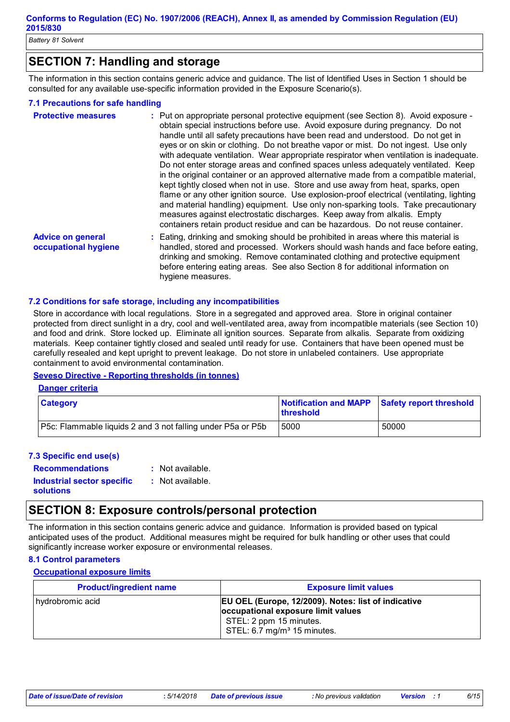## **SECTION 7: Handling and storage**

The information in this section contains generic advice and guidance. The list of Identified Uses in Section 1 should be consulted for any available use-specific information provided in the Exposure Scenario(s).

#### **7.1 Precautions for safe handling**

| <b>Protective measures</b>                       | : Put on appropriate personal protective equipment (see Section 8). Avoid exposure -<br>obtain special instructions before use. Avoid exposure during pregnancy. Do not<br>handle until all safety precautions have been read and understood. Do not get in<br>eyes or on skin or clothing. Do not breathe vapor or mist. Do not ingest. Use only<br>with adequate ventilation. Wear appropriate respirator when ventilation is inadequate.<br>Do not enter storage areas and confined spaces unless adequately ventilated. Keep<br>in the original container or an approved alternative made from a compatible material,<br>kept tightly closed when not in use. Store and use away from heat, sparks, open<br>flame or any other ignition source. Use explosion-proof electrical (ventilating, lighting<br>and material handling) equipment. Use only non-sparking tools. Take precautionary<br>measures against electrostatic discharges. Keep away from alkalis. Empty<br>containers retain product residue and can be hazardous. Do not reuse container. |
|--------------------------------------------------|---------------------------------------------------------------------------------------------------------------------------------------------------------------------------------------------------------------------------------------------------------------------------------------------------------------------------------------------------------------------------------------------------------------------------------------------------------------------------------------------------------------------------------------------------------------------------------------------------------------------------------------------------------------------------------------------------------------------------------------------------------------------------------------------------------------------------------------------------------------------------------------------------------------------------------------------------------------------------------------------------------------------------------------------------------------|
| <b>Advice on general</b><br>occupational hygiene | : Eating, drinking and smoking should be prohibited in areas where this material is<br>handled, stored and processed. Workers should wash hands and face before eating,<br>drinking and smoking. Remove contaminated clothing and protective equipment<br>before entering eating areas. See also Section 8 for additional information on<br>hygiene measures.                                                                                                                                                                                                                                                                                                                                                                                                                                                                                                                                                                                                                                                                                                 |

#### **7.2 Conditions for safe storage, including any incompatibilities**

Store in accordance with local regulations. Store in a segregated and approved area. Store in original container protected from direct sunlight in a dry, cool and well-ventilated area, away from incompatible materials (see Section 10) and food and drink. Store locked up. Eliminate all ignition sources. Separate from alkalis. Separate from oxidizing materials. Keep container tightly closed and sealed until ready for use. Containers that have been opened must be carefully resealed and kept upright to prevent leakage. Do not store in unlabeled containers. Use appropriate containment to avoid environmental contamination.

**Seveso Directive - Reporting thresholds (in tonnes)**

#### **Danger criteria**

| <b>Category</b>                                                    | <b>threshold</b> | Notification and MAPP Safety report threshold |
|--------------------------------------------------------------------|------------------|-----------------------------------------------|
| <b>P5c: Flammable liquids 2 and 3 not falling under P5a or P5b</b> | 5000             | 50000                                         |

#### **7.3 Specific end use(s)**

| <b>Recommendations</b>            | : Not available.   |  |
|-----------------------------------|--------------------|--|
| <b>Industrial sector specific</b> | $:$ Not available. |  |
| <b>solutions</b>                  |                    |  |

### **SECTION 8: Exposure controls/personal protection**

The information in this section contains generic advice and guidance. Information is provided based on typical anticipated uses of the product. Additional measures might be required for bulk handling or other uses that could significantly increase worker exposure or environmental releases.

#### **8.1 Control parameters**

#### **Occupational exposure limits**

| <b>Product/ingredient name</b> | <b>Exposure limit values</b>                                      |
|--------------------------------|-------------------------------------------------------------------|
| hydrobromic acid               | EU OEL (Europe, 12/2009). Notes: list of indicative               |
|                                | occupational exposure limit values                                |
|                                | STEL: 2 ppm 15 minutes.<br>STEL: $6.7 \text{ mg/m}^3$ 15 minutes. |
|                                |                                                                   |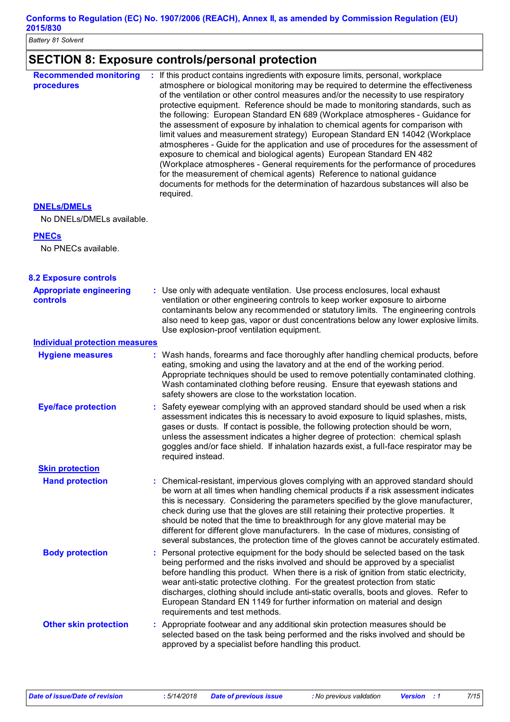### **Conforms to Regulation (EC) No. 1907/2006 (REACH), Annex II, as amended by Commission Regulation (EU) 2015/830**

*Battery 81 Solvent*

## **SECTION 8: Exposure controls/personal protection**

| <b>Recommended monitoring</b><br>procedures     | If this product contains ingredients with exposure limits, personal, workplace<br>atmosphere or biological monitoring may be required to determine the effectiveness<br>of the ventilation or other control measures and/or the necessity to use respiratory<br>protective equipment. Reference should be made to monitoring standards, such as<br>the following: European Standard EN 689 (Workplace atmospheres - Guidance for<br>the assessment of exposure by inhalation to chemical agents for comparison with<br>limit values and measurement strategy) European Standard EN 14042 (Workplace<br>atmospheres - Guide for the application and use of procedures for the assessment of<br>exposure to chemical and biological agents) European Standard EN 482<br>(Workplace atmospheres - General requirements for the performance of procedures<br>for the measurement of chemical agents) Reference to national guidance<br>documents for methods for the determination of hazardous substances will also be<br>required. |
|-------------------------------------------------|----------------------------------------------------------------------------------------------------------------------------------------------------------------------------------------------------------------------------------------------------------------------------------------------------------------------------------------------------------------------------------------------------------------------------------------------------------------------------------------------------------------------------------------------------------------------------------------------------------------------------------------------------------------------------------------------------------------------------------------------------------------------------------------------------------------------------------------------------------------------------------------------------------------------------------------------------------------------------------------------------------------------------------|
| <b>DNELS/DMELS</b><br>No DNELs/DMELs available. |                                                                                                                                                                                                                                                                                                                                                                                                                                                                                                                                                                                                                                                                                                                                                                                                                                                                                                                                                                                                                                  |
| <b>PNECs</b><br>No PNECs available.             |                                                                                                                                                                                                                                                                                                                                                                                                                                                                                                                                                                                                                                                                                                                                                                                                                                                                                                                                                                                                                                  |
| <b>8.2 Exposure controls</b>                    |                                                                                                                                                                                                                                                                                                                                                                                                                                                                                                                                                                                                                                                                                                                                                                                                                                                                                                                                                                                                                                  |
| <b>Appropriate engineering</b><br>controls      | : Use only with adequate ventilation. Use process enclosures, local exhaust<br>ventilation or other engineering controls to keep worker exposure to airborne<br>contaminants below any recommended or statutory limits. The engineering controls<br>also need to keep gas, vapor or dust concentrations below any lower explosive limits.<br>Use explosion-proof ventilation equipment.                                                                                                                                                                                                                                                                                                                                                                                                                                                                                                                                                                                                                                          |
| <b>Individual protection measures</b>           |                                                                                                                                                                                                                                                                                                                                                                                                                                                                                                                                                                                                                                                                                                                                                                                                                                                                                                                                                                                                                                  |
| <b>Hygiene measures</b>                         | : Wash hands, forearms and face thoroughly after handling chemical products, before<br>eating, smoking and using the lavatory and at the end of the working period.<br>Appropriate techniques should be used to remove potentially contaminated clothing.<br>Wash contaminated clothing before reusing. Ensure that eyewash stations and<br>safety showers are close to the workstation location.                                                                                                                                                                                                                                                                                                                                                                                                                                                                                                                                                                                                                                |
| <b>Eye/face protection</b>                      | Safety eyewear complying with an approved standard should be used when a risk<br>assessment indicates this is necessary to avoid exposure to liquid splashes, mists,<br>gases or dusts. If contact is possible, the following protection should be worn,<br>unless the assessment indicates a higher degree of protection: chemical splash<br>goggles and/or face shield. If inhalation hazards exist, a full-face respirator may be<br>required instead.                                                                                                                                                                                                                                                                                                                                                                                                                                                                                                                                                                        |
| <b>Skin protection</b>                          |                                                                                                                                                                                                                                                                                                                                                                                                                                                                                                                                                                                                                                                                                                                                                                                                                                                                                                                                                                                                                                  |
| <b>Hand protection</b>                          | Chemical-resistant, impervious gloves complying with an approved standard should<br>be worn at all times when handling chemical products if a risk assessment indicates<br>this is necessary. Considering the parameters specified by the glove manufacturer,<br>check during use that the gloves are still retaining their protective properties. It<br>should be noted that the time to breakthrough for any glove material may be<br>different for different glove manufacturers. In the case of mixtures, consisting of<br>several substances, the protection time of the gloves cannot be accurately estimated.                                                                                                                                                                                                                                                                                                                                                                                                             |
| <b>Body protection</b>                          | Personal protective equipment for the body should be selected based on the task<br>÷<br>being performed and the risks involved and should be approved by a specialist<br>before handling this product. When there is a risk of ignition from static electricity,<br>wear anti-static protective clothing. For the greatest protection from static<br>discharges, clothing should include anti-static overalls, boots and gloves. Refer to<br>European Standard EN 1149 for further information on material and design<br>requirements and test methods.                                                                                                                                                                                                                                                                                                                                                                                                                                                                          |
| <b>Other skin protection</b>                    | : Appropriate footwear and any additional skin protection measures should be<br>selected based on the task being performed and the risks involved and should be<br>approved by a specialist before handling this product.                                                                                                                                                                                                                                                                                                                                                                                                                                                                                                                                                                                                                                                                                                                                                                                                        |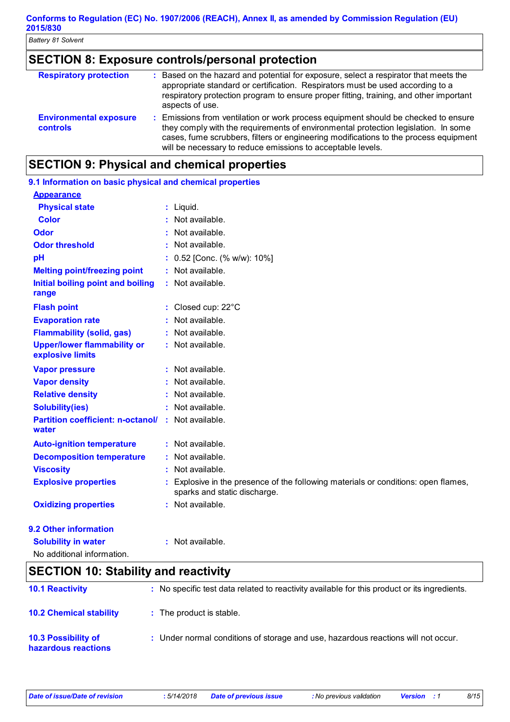### **SECTION 8: Exposure controls/personal protection**

| <b>Respiratory protection</b>                    | Based on the hazard and potential for exposure, select a respirator that meets the<br>appropriate standard or certification. Respirators must be used according to a<br>respiratory protection program to ensure proper fitting, training, and other important<br>aspects of use.                                             |
|--------------------------------------------------|-------------------------------------------------------------------------------------------------------------------------------------------------------------------------------------------------------------------------------------------------------------------------------------------------------------------------------|
| <b>Environmental exposure</b><br><b>controls</b> | Emissions from ventilation or work process equipment should be checked to ensure<br>they comply with the requirements of environmental protection legislation. In some<br>cases, fume scrubbers, filters or engineering modifications to the process equipment<br>will be necessary to reduce emissions to acceptable levels. |

### **SECTION 9: Physical and chemical properties**

| 9.1 Information on basic physical and chemical properties          |                                                                                                                  |
|--------------------------------------------------------------------|------------------------------------------------------------------------------------------------------------------|
| <b>Appearance</b>                                                  |                                                                                                                  |
| <b>Physical state</b>                                              | : Liquid.                                                                                                        |
| <b>Color</b>                                                       | : Not available.                                                                                                 |
| Odor                                                               | Not available.                                                                                                   |
| <b>Odor threshold</b>                                              | : Not available.                                                                                                 |
| pH                                                                 | 0.52 [Conc. (% w/w): 10%]                                                                                        |
| <b>Melting point/freezing point</b>                                | : Not available.                                                                                                 |
| Initial boiling point and boiling<br>range                         | : Not available.                                                                                                 |
| <b>Flash point</b>                                                 | : Closed cup: 22°C                                                                                               |
| <b>Evaporation rate</b>                                            | Not available.                                                                                                   |
| <b>Flammability (solid, gas)</b>                                   | : Not available.                                                                                                 |
| <b>Upper/lower flammability or</b><br>explosive limits             | : Not available.                                                                                                 |
| <b>Vapor pressure</b>                                              | : Not available.                                                                                                 |
| <b>Vapor density</b>                                               | : Not available.                                                                                                 |
| <b>Relative density</b>                                            | : Not available.                                                                                                 |
| <b>Solubility(ies)</b>                                             | : Not available.                                                                                                 |
| <b>Partition coefficient: n-octanol/ : Not available.</b><br>water |                                                                                                                  |
| <b>Auto-ignition temperature</b>                                   | : Not available.                                                                                                 |
| <b>Decomposition temperature</b>                                   | Not available.                                                                                                   |
| <b>Viscosity</b>                                                   | Not available.                                                                                                   |
| <b>Explosive properties</b>                                        | Explosive in the presence of the following materials or conditions: open flames,<br>sparks and static discharge. |
| <b>Oxidizing properties</b>                                        | : Not available.                                                                                                 |
| 9.2 Other information                                              |                                                                                                                  |
| <b>Solubility in water</b>                                         | : Not available.                                                                                                 |

| No additional information. |  |
|----------------------------|--|
|                            |  |

| <b>SECTION 10: Stability and reactivity</b>       |                                                                                              |
|---------------------------------------------------|----------------------------------------------------------------------------------------------|
| <b>10.1 Reactivity</b>                            | : No specific test data related to reactivity available for this product or its ingredients. |
| <b>10.2 Chemical stability</b>                    | : The product is stable.                                                                     |
| <b>10.3 Possibility of</b><br>hazardous reactions | : Under normal conditions of storage and use, hazardous reactions will not occur.            |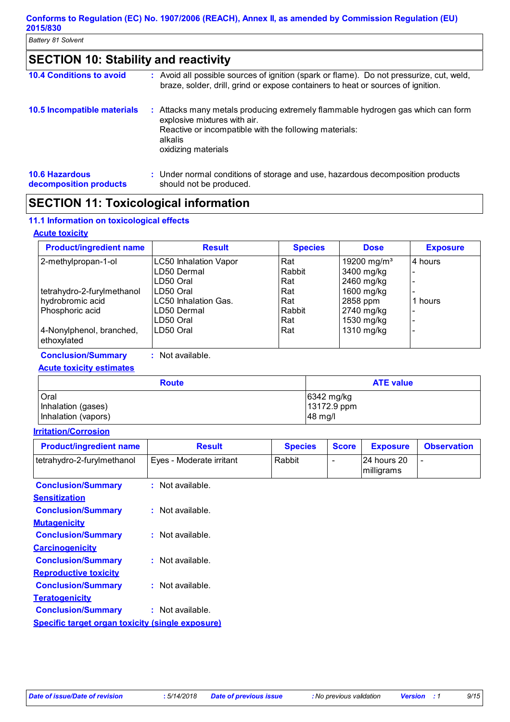| <b>SECTION 10: Stability and reactivity</b>     |  |                                                                                                                                                                                                             |
|-------------------------------------------------|--|-------------------------------------------------------------------------------------------------------------------------------------------------------------------------------------------------------------|
| <b>10.4 Conditions to avoid</b>                 |  | : Avoid all possible sources of ignition (spark or flame). Do not pressurize, cut, weld,<br>braze, solder, drill, grind or expose containers to heat or sources of ignition.                                |
| 10.5 Incompatible materials                     |  | : Attacks many metals producing extremely flammable hydrogen gas which can form<br>explosive mixtures with air.<br>Reactive or incompatible with the following materials:<br>alkalis<br>oxidizing materials |
| <b>10.6 Hazardous</b><br>decomposition products |  | : Under normal conditions of storage and use, hazardous decomposition products<br>should not be produced.                                                                                                   |

## **SECTION 11: Toxicological information**

### **11.1 Information on toxicological effects**

### **Acute toxicity**

| <b>Product/ingredient name</b> | <b>Result</b>                | <b>Species</b> | <b>Dose</b>             | <b>Exposure</b>          |
|--------------------------------|------------------------------|----------------|-------------------------|--------------------------|
| 2-methylpropan-1-ol            | <b>LC50 Inhalation Vapor</b> | Rat            | 19200 mg/m <sup>3</sup> | 4 hours                  |
|                                | LD50 Dermal                  | Rabbit         | 3400 mg/kg              | $\overline{\phantom{a}}$ |
|                                | ILD50 Oral                   | Rat            | 2460 mg/kg              | $\overline{\phantom{a}}$ |
| tetrahydro-2-furylmethanol     | ILD50 Oral                   | Rat            | 1600 mg/kg              | $\overline{\phantom{a}}$ |
| hydrobromic acid               | LC50 Inhalation Gas.         | Rat            | 2858 ppm                | hours<br>1               |
| Phosphoric acid                | LD50 Dermal                  | Rabbit         | 2740 mg/kg              | $\overline{\phantom{a}}$ |
|                                | LD50 Oral                    | Rat            | 1530 mg/kg              | $\overline{\phantom{a}}$ |
| 4-Nonylphenol, branched,       | ILD50 Oral                   | Rat            | 1310 mg/kg              | $\overline{\phantom{a}}$ |
| ethoxylated                    |                              |                |                         |                          |
| <b>Conclusion/Summary</b>      | Not available.               |                |                         |                          |

### **Acute toxicity estimates**

| <b>Route</b>        | <b>ATE value</b> |
|---------------------|------------------|
| <b>Oral</b>         | $6342$ mg/kg     |
| Inhalation (gases)  | 13172.9 ppm      |
| Inhalation (vapors) | 48 mg/l          |

### **Irritation/Corrosion**

| <b>Product/ingredient name</b>                          | <b>Result</b>            | <b>Species</b> | <b>Score</b>             | <b>Exposure</b>           | <b>Observation</b>       |
|---------------------------------------------------------|--------------------------|----------------|--------------------------|---------------------------|--------------------------|
| tetrahydro-2-furylmethanol                              | Eyes - Moderate irritant | Rabbit         | $\overline{\phantom{0}}$ | 24 hours 20<br>milligrams | $\overline{\phantom{a}}$ |
| <b>Conclusion/Summary</b>                               | $:$ Not available.       |                |                          |                           |                          |
| <b>Sensitization</b>                                    |                          |                |                          |                           |                          |
| <b>Conclusion/Summary</b>                               | $:$ Not available.       |                |                          |                           |                          |
| <b>Mutagenicity</b>                                     |                          |                |                          |                           |                          |
| <b>Conclusion/Summary</b>                               | : Not available.         |                |                          |                           |                          |
| <b>Carcinogenicity</b>                                  |                          |                |                          |                           |                          |
| <b>Conclusion/Summary</b>                               | : Not available.         |                |                          |                           |                          |
| <b>Reproductive toxicity</b>                            |                          |                |                          |                           |                          |
| <b>Conclusion/Summary</b>                               | $:$ Not available.       |                |                          |                           |                          |
| <b>Teratogenicity</b>                                   |                          |                |                          |                           |                          |
| <b>Conclusion/Summary</b>                               | : Not available.         |                |                          |                           |                          |
| <b>Specific target organ toxicity (single exposure)</b> |                          |                |                          |                           |                          |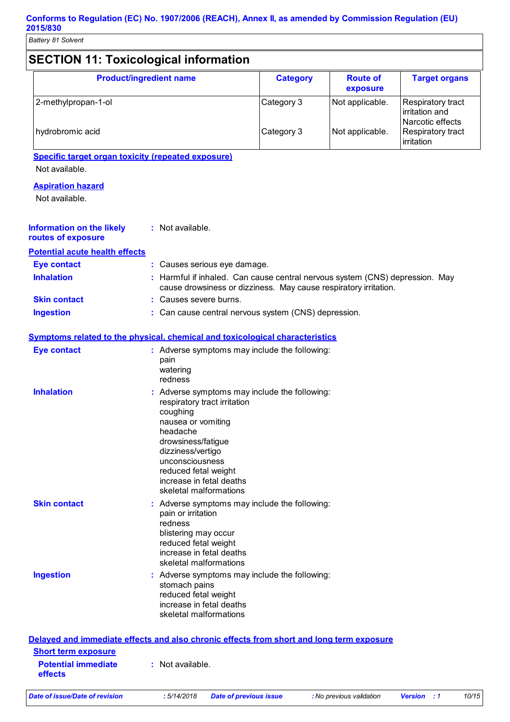| <b>Product/ingredient name</b>                                                           |                                                                                                                                                                                                                                                                         | <b>Category</b>                                                                                                                                | <b>Route of</b> | <b>Target organs</b>                                    |
|------------------------------------------------------------------------------------------|-------------------------------------------------------------------------------------------------------------------------------------------------------------------------------------------------------------------------------------------------------------------------|------------------------------------------------------------------------------------------------------------------------------------------------|-----------------|---------------------------------------------------------|
|                                                                                          |                                                                                                                                                                                                                                                                         |                                                                                                                                                | exposure        |                                                         |
| 2-methylpropan-1-ol                                                                      |                                                                                                                                                                                                                                                                         | Category 3                                                                                                                                     | Not applicable. | Respiratory tract<br>irritation and<br>Narcotic effects |
| hydrobromic acid                                                                         |                                                                                                                                                                                                                                                                         | Category 3                                                                                                                                     | Not applicable. | Respiratory tract<br>irritation                         |
| <b>Specific target organ toxicity (repeated exposure)</b>                                |                                                                                                                                                                                                                                                                         |                                                                                                                                                |                 |                                                         |
| Not available.                                                                           |                                                                                                                                                                                                                                                                         |                                                                                                                                                |                 |                                                         |
| <b>Aspiration hazard</b>                                                                 |                                                                                                                                                                                                                                                                         |                                                                                                                                                |                 |                                                         |
| Not available.                                                                           |                                                                                                                                                                                                                                                                         |                                                                                                                                                |                 |                                                         |
| <b>Information on the likely</b><br>routes of exposure                                   | : Not available.                                                                                                                                                                                                                                                        |                                                                                                                                                |                 |                                                         |
| <b>Potential acute health effects</b>                                                    |                                                                                                                                                                                                                                                                         |                                                                                                                                                |                 |                                                         |
| <b>Eye contact</b>                                                                       | : Causes serious eye damage.                                                                                                                                                                                                                                            |                                                                                                                                                |                 |                                                         |
| <b>Inhalation</b>                                                                        |                                                                                                                                                                                                                                                                         | Harmful if inhaled. Can cause central nervous system (CNS) depression. May<br>cause drowsiness or dizziness. May cause respiratory irritation. |                 |                                                         |
| <b>Skin contact</b>                                                                      | : Causes severe burns.                                                                                                                                                                                                                                                  |                                                                                                                                                |                 |                                                         |
| <b>Ingestion</b>                                                                         | : Can cause central nervous system (CNS) depression.                                                                                                                                                                                                                    |                                                                                                                                                |                 |                                                         |
|                                                                                          | <b>Symptoms related to the physical, chemical and toxicological characteristics</b>                                                                                                                                                                                     |                                                                                                                                                |                 |                                                         |
| <b>Eye contact</b>                                                                       | : Adverse symptoms may include the following:<br>pain<br>watering<br>redness                                                                                                                                                                                            |                                                                                                                                                |                 |                                                         |
| <b>Inhalation</b>                                                                        | : Adverse symptoms may include the following:<br>respiratory tract irritation<br>coughing<br>nausea or vomiting<br>headache<br>drowsiness/fatigue<br>dizziness/vertigo<br>unconsciousness<br>reduced fetal weight<br>increase in fetal deaths<br>skeletal malformations |                                                                                                                                                |                 |                                                         |
| <b>Skin contact</b>                                                                      | : Adverse symptoms may include the following:<br>pain or irritation<br>redness<br>blistering may occur<br>reduced fetal weight<br>increase in fetal deaths<br>skeletal malformations                                                                                    |                                                                                                                                                |                 |                                                         |
| <b>Ingestion</b>                                                                         | : Adverse symptoms may include the following:<br>stomach pains<br>reduced fetal weight<br>increase in fetal deaths<br>skeletal malformations                                                                                                                            |                                                                                                                                                |                 |                                                         |
| Delayed and immediate effects and also chronic effects from short and long term exposure |                                                                                                                                                                                                                                                                         |                                                                                                                                                |                 |                                                         |
| <b>Short term exposure</b>                                                               |                                                                                                                                                                                                                                                                         |                                                                                                                                                |                 |                                                         |
| <b>Potential immediate</b><br>effects                                                    | : Not available.                                                                                                                                                                                                                                                        |                                                                                                                                                |                 |                                                         |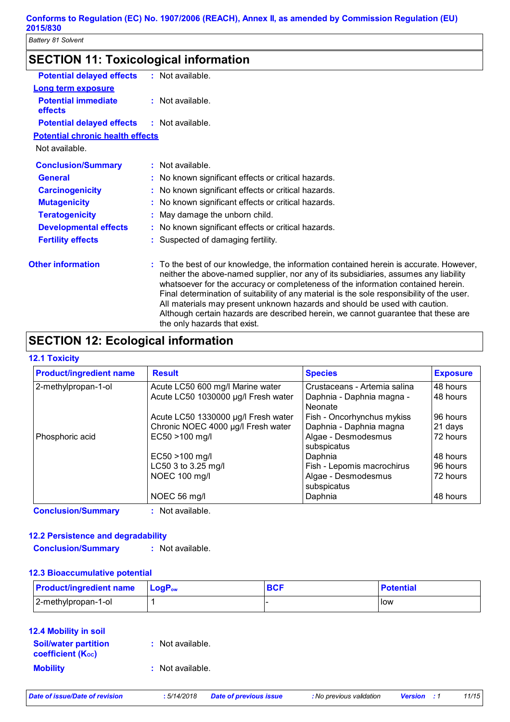| <b>SECTION 11: Toxicological information</b> |  |
|----------------------------------------------|--|
|----------------------------------------------|--|

| <b>Potential delayed effects</b>        | $:$ Not available.                                                                                                                                                                                                                                                                                                                                                                                                                                                                                                                                                  |
|-----------------------------------------|---------------------------------------------------------------------------------------------------------------------------------------------------------------------------------------------------------------------------------------------------------------------------------------------------------------------------------------------------------------------------------------------------------------------------------------------------------------------------------------------------------------------------------------------------------------------|
| <b>Long term exposure</b>               |                                                                                                                                                                                                                                                                                                                                                                                                                                                                                                                                                                     |
| <b>Potential immediate</b><br>effects   | : Not available.                                                                                                                                                                                                                                                                                                                                                                                                                                                                                                                                                    |
| <b>Potential delayed effects</b>        | $:$ Not available.                                                                                                                                                                                                                                                                                                                                                                                                                                                                                                                                                  |
| <b>Potential chronic health effects</b> |                                                                                                                                                                                                                                                                                                                                                                                                                                                                                                                                                                     |
| Not available.                          |                                                                                                                                                                                                                                                                                                                                                                                                                                                                                                                                                                     |
| <b>Conclusion/Summary</b>               | $:$ Not available.                                                                                                                                                                                                                                                                                                                                                                                                                                                                                                                                                  |
| <b>General</b>                          | : No known significant effects or critical hazards.                                                                                                                                                                                                                                                                                                                                                                                                                                                                                                                 |
| <b>Carcinogenicity</b>                  | : No known significant effects or critical hazards.                                                                                                                                                                                                                                                                                                                                                                                                                                                                                                                 |
| <b>Mutagenicity</b>                     | : No known significant effects or critical hazards.                                                                                                                                                                                                                                                                                                                                                                                                                                                                                                                 |
| <b>Teratogenicity</b>                   | : May damage the unborn child.                                                                                                                                                                                                                                                                                                                                                                                                                                                                                                                                      |
| <b>Developmental effects</b>            | : No known significant effects or critical hazards.                                                                                                                                                                                                                                                                                                                                                                                                                                                                                                                 |
| <b>Fertility effects</b>                | : Suspected of damaging fertility.                                                                                                                                                                                                                                                                                                                                                                                                                                                                                                                                  |
| <b>Other information</b>                | : To the best of our knowledge, the information contained herein is accurate. However,<br>neither the above-named supplier, nor any of its subsidiaries, assumes any liability<br>whatsoever for the accuracy or completeness of the information contained herein.<br>Final determination of suitability of any material is the sole responsibility of the user.<br>All materials may present unknown hazards and should be used with caution.<br>Although certain hazards are described herein, we cannot guarantee that these are<br>the only hazards that exist. |

### **SECTION 12: Ecological information**

#### **12.1 Toxicity**

| <b>Product/ingredient name</b> | <b>Result</b>                       | <b>Species</b>                       | <b>Exposure</b> |
|--------------------------------|-------------------------------------|--------------------------------------|-----------------|
| 2-methylpropan-1-ol            | Acute LC50 600 mg/l Marine water    | Crustaceans - Artemia salina         | 48 hours        |
|                                | Acute LC50 1030000 µg/l Fresh water | Daphnia - Daphnia magna -<br>Neonate | 48 hours        |
|                                | Acute LC50 1330000 µg/l Fresh water | Fish - Oncorhynchus mykiss           | 96 hours        |
|                                | Chronic NOEC 4000 µg/l Fresh water  | Daphnia - Daphnia magna              | 21 days         |
| Phosphoric acid                | EC50 >100 mg/l                      | Algae - Desmodesmus<br>subspicatus   | 72 hours        |
|                                | EC50 >100 mg/l                      | Daphnia                              | 148 hours       |
|                                | LC50 3 to 3.25 mg/l                 | Fish - Lepomis macrochirus           | 96 hours        |
|                                | NOEC 100 mg/l                       | Algae - Desmodesmus<br>subspicatus   | 72 hours        |
|                                | NOEC 56 mg/l                        | Daphnia                              | 48 hours        |

**Conclusion/Summary :** Not available.

### **12.2 Persistence and degradability**

**Conclusion/Summary :** Not available.

### **12.3 Bioaccumulative potential**

| <b>Product/ingredient name</b> LogP <sub>ow</sub> | <b>BCF</b> | <b>Potential</b> |
|---------------------------------------------------|------------|------------------|
| 2-methylpropan-1-ol                               |            | low              |

| <b>12.4 Mobility in soil</b>                            |                    |
|---------------------------------------------------------|--------------------|
| <b>Soil/water partition</b><br><b>coefficient (Koc)</b> | : Not available.   |
| <b>Mobility</b>                                         | $:$ Not available. |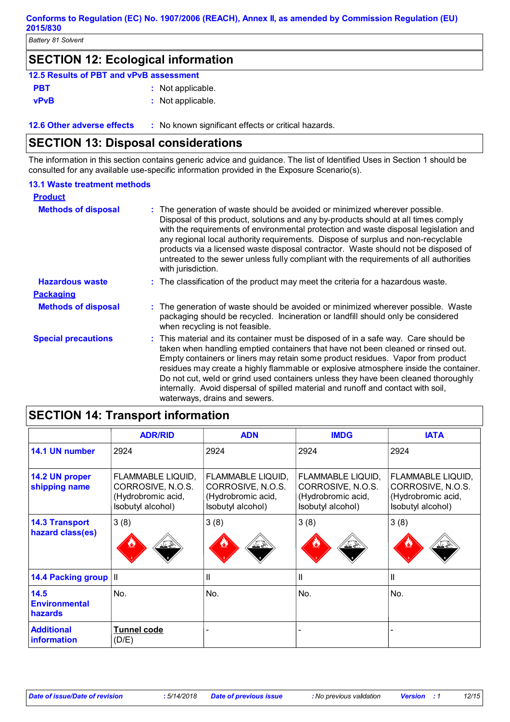### **SECTION 12: Ecological information**

| 12.5 Results of PBT and vPvB assessment |                   |
|-----------------------------------------|-------------------|
| <b>PBT</b>                              | : Not applicable. |
| vPvB                                    | : Not applicable. |

**12.6 Other adverse effects** : No known significant effects or critical hazards.

### **SECTION 13: Disposal considerations**

The information in this section contains generic advice and guidance. The list of Identified Uses in Section 1 should be consulted for any available use-specific information provided in the Exposure Scenario(s).

#### **13.1 Waste treatment methods**

| <b>Product</b>             |                                                                                                                                                                                                                                                                                                                                                                                                                                                                                                                                                                |
|----------------------------|----------------------------------------------------------------------------------------------------------------------------------------------------------------------------------------------------------------------------------------------------------------------------------------------------------------------------------------------------------------------------------------------------------------------------------------------------------------------------------------------------------------------------------------------------------------|
| <b>Methods of disposal</b> | : The generation of waste should be avoided or minimized wherever possible.<br>Disposal of this product, solutions and any by-products should at all times comply<br>with the requirements of environmental protection and waste disposal legislation and<br>any regional local authority requirements. Dispose of surplus and non-recyclable<br>products via a licensed waste disposal contractor. Waste should not be disposed of<br>untreated to the sewer unless fully compliant with the requirements of all authorities<br>with jurisdiction.            |
| <b>Hazardous waste</b>     | : The classification of the product may meet the criteria for a hazardous waste.                                                                                                                                                                                                                                                                                                                                                                                                                                                                               |
| <b>Packaging</b>           |                                                                                                                                                                                                                                                                                                                                                                                                                                                                                                                                                                |
| <b>Methods of disposal</b> | : The generation of waste should be avoided or minimized wherever possible. Waste<br>packaging should be recycled. Incineration or landfill should only be considered<br>when recycling is not feasible.                                                                                                                                                                                                                                                                                                                                                       |
| <b>Special precautions</b> | : This material and its container must be disposed of in a safe way. Care should be<br>taken when handling emptied containers that have not been cleaned or rinsed out.<br>Empty containers or liners may retain some product residues. Vapor from product<br>residues may create a highly flammable or explosive atmosphere inside the container.<br>Do not cut, weld or grind used containers unless they have been cleaned thoroughly<br>internally. Avoid dispersal of spilled material and runoff and contact with soil,<br>waterways, drains and sewers. |

## **SECTION 14: Transport information**

|                                           | <b>ADR/RID</b>                                                                    | <b>ADN</b>                                                                        | <b>IMDG</b>                                                                       | <b>IATA</b>                                                                       |
|-------------------------------------------|-----------------------------------------------------------------------------------|-----------------------------------------------------------------------------------|-----------------------------------------------------------------------------------|-----------------------------------------------------------------------------------|
| 14.1 UN number                            | 2924                                                                              | 2924                                                                              | 2924                                                                              | 2924                                                                              |
| 14.2 UN proper<br>shipping name           | FLAMMABLE LIQUID,<br>CORROSIVE, N.O.S.<br>(Hydrobromic acid,<br>Isobutyl alcohol) | FLAMMABLE LIQUID,<br>CORROSIVE, N.O.S.<br>(Hydrobromic acid,<br>Isobutyl alcohol) | FLAMMABLE LIQUID,<br>CORROSIVE, N.O.S.<br>(Hydrobromic acid,<br>Isobutyl alcohol) | FLAMMABLE LIQUID,<br>CORROSIVE, N.O.S.<br>(Hydrobromic acid,<br>Isobutyl alcohol) |
| <b>14.3 Transport</b><br>hazard class(es) | 3(8)                                                                              | 3(8)<br>≫ے کف                                                                     | 3(8)                                                                              | 3(8)                                                                              |
| 14.4 Packing group   II                   |                                                                                   | Ш                                                                                 | Ш                                                                                 | Ш                                                                                 |
| 14.5<br><b>Environmental</b><br>hazards   | No.                                                                               | No.                                                                               | No.                                                                               | No.                                                                               |
| <b>Additional</b><br><b>information</b>   | <b>Tunnel code</b><br>(D/E)                                                       |                                                                                   |                                                                                   |                                                                                   |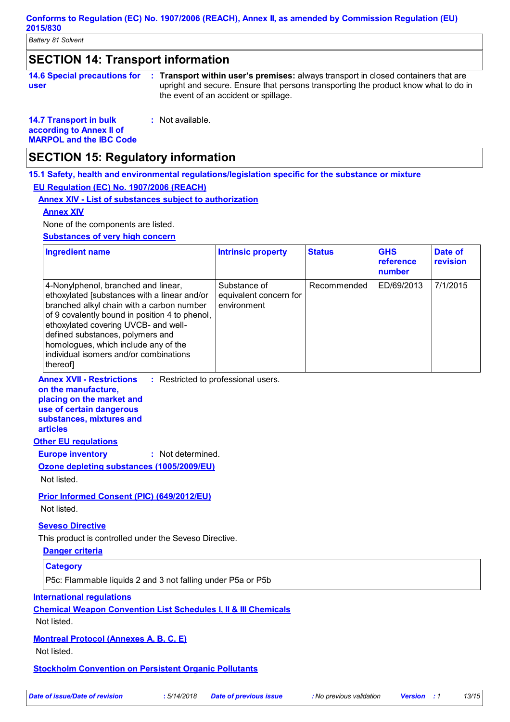### **SECTION 14: Transport information**

| <b>14.6 Special precautions for</b> | <b>Transport within user's premises:</b> always transport in closed containers that are                                      |
|-------------------------------------|------------------------------------------------------------------------------------------------------------------------------|
| user                                | upright and secure. Ensure that persons transporting the product know what to do in<br>the event of an accident or spillage. |

**14.7 Transport in bulk according to Annex II of MARPOL and the IBC Code :** Not available.

### **SECTION 15: Regulatory information**

**15.1 Safety, health and environmental regulations/legislation specific for the substance or mixture**

#### **EU Regulation (EC) No. 1907/2006 (REACH)**

**Annex XIV - List of substances subject to authorization**

#### **Annex XIV**

None of the components are listed.

#### **Substances of very high concern**

| <b>Ingredient name</b>                                                                                                                                                                                                                                                                                                                                       | <b>Intrinsic property</b>                             | <b>Status</b> | <b>GHS</b><br>reference<br>number | Date of<br>revision |
|--------------------------------------------------------------------------------------------------------------------------------------------------------------------------------------------------------------------------------------------------------------------------------------------------------------------------------------------------------------|-------------------------------------------------------|---------------|-----------------------------------|---------------------|
| 4-Nonylphenol, branched and linear,<br>ethoxylated [substances with a linear and/or<br>branched alkyl chain with a carbon number<br>of 9 covalently bound in position 4 to phenol,<br>ethoxylated covering UVCB- and well-<br>defined substances, polymers and<br>homologues, which include any of the<br>individual isomers and/or combinations<br>thereof] | Substance of<br>equivalent concern for<br>environment | Recommended   | ED/69/2013                        | 7/1/2015            |

**Annex XVII - Restrictions** : Restricted to professional users.

**on the manufacture, placing on the market and use of certain dangerous substances, mixtures and** 

**articles**

### **Other EU regulations**

**Europe inventory :** Not determined.

**Ozone depleting substances (1005/2009/EU)** Not listed.

### **Prior Informed Consent (PIC) (649/2012/EU)**

Not listed.

#### **Seveso Directive**

This product is controlled under the Seveso Directive.

### **Danger criteria**

**Category**

P5c: Flammable liquids 2 and 3 not falling under P5a or P5b

#### **International regulations**

**Chemical Weapon Convention List Schedules I, II & III Chemicals**

Not listed.

**Montreal Protocol (Annexes A, B, C, E)**

Not listed.

**Stockholm Convention on Persistent Organic Pollutants**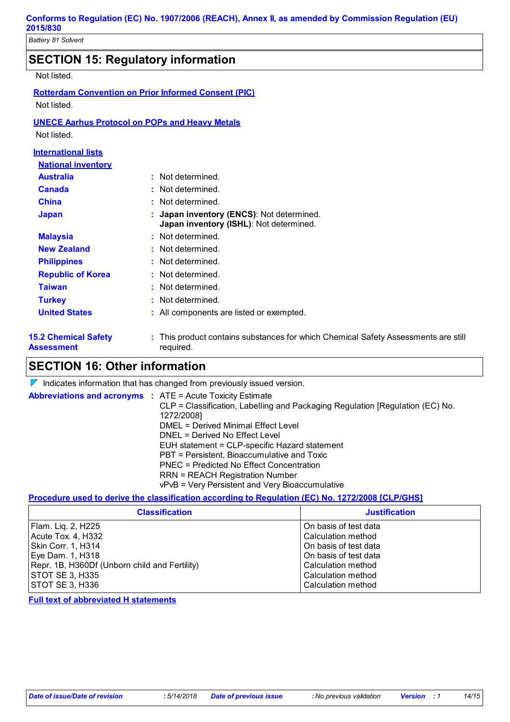## **SECTION 15: Regulatory information**

Not listed.

|                            | <b>Rotterdam Convention on Prior Informed Consent (PIC)</b> |
|----------------------------|-------------------------------------------------------------|
| Not listed.                |                                                             |
|                            | <b>UNECE Aarhus Protocol on POPs and Heavy Metals</b>       |
| Not listed.                |                                                             |
| <b>International lists</b> |                                                             |
| <b>National inventory</b>  |                                                             |
| Australia                  | • Not determined                                            |

| <u>ячэнене</u>                            |                                                                                                 |
|-------------------------------------------|-------------------------------------------------------------------------------------------------|
| Canada                                    | : Not determined.                                                                               |
| <b>China</b>                              | : Not determined.                                                                               |
| <b>Japan</b>                              | : Japan inventory (ENCS): Not determined.<br>Japan inventory (ISHL): Not determined.            |
| <b>Malaysia</b>                           | : Not determined.                                                                               |
| <b>New Zealand</b>                        | : Not determined.                                                                               |
| <b>Philippines</b>                        | : Not determined.                                                                               |
| <b>Republic of Korea</b>                  | : Not determined.                                                                               |
| Taiwan                                    | : Not determined.                                                                               |
| <b>Turkey</b>                             | : Not determined.                                                                               |
| <b>United States</b>                      | : All components are listed or exempted.                                                        |
| <b>15.2 Chemical Safety</b><br>Assessment | : This product contains substances for which Chemical Safety Assessments are still<br>required. |

## **SECTION 16: Other information**

 $\nabla$  Indicates information that has changed from previously issued version.

| <b>Abbreviations and acronyms : ATE = Acute Toxicity Estimate</b> | CLP = Classification, Labelling and Packaging Regulation [Regulation (EC) No.<br>1272/2008] |
|-------------------------------------------------------------------|---------------------------------------------------------------------------------------------|
|                                                                   | DMEL = Derived Minimal Effect Level                                                         |
|                                                                   | DNEL = Derived No Effect Level                                                              |
|                                                                   | EUH statement = CLP-specific Hazard statement                                               |
|                                                                   | PBT = Persistent, Bioaccumulative and Toxic                                                 |
|                                                                   | PNEC = Predicted No Effect Concentration                                                    |
|                                                                   | <b>RRN = REACH Registration Number</b>                                                      |
|                                                                   | vPvB = Very Persistent and Very Bioaccumulative                                             |

#### **Procedure used to derive the classification according to Regulation (EC) No. 1272/2008 [CLP/GHS]**

| <b>Classification</b>                         | <b>Justification</b>  |
|-----------------------------------------------|-----------------------|
| Flam. Liq. 2, H225                            | On basis of test data |
| Acute Tox. 4, H332                            | Calculation method    |
| Skin Corr. 1, H314                            | On basis of test data |
| Eye Dam. 1, H318                              | On basis of test data |
| Repr. 1B, H360Df (Unborn child and Fertility) | Calculation method    |
| <b>STOT SE 3, H335</b>                        | Calculation method    |
| <b>STOT SE 3, H336</b>                        | Calculation method    |

**Full text of abbreviated H statements**